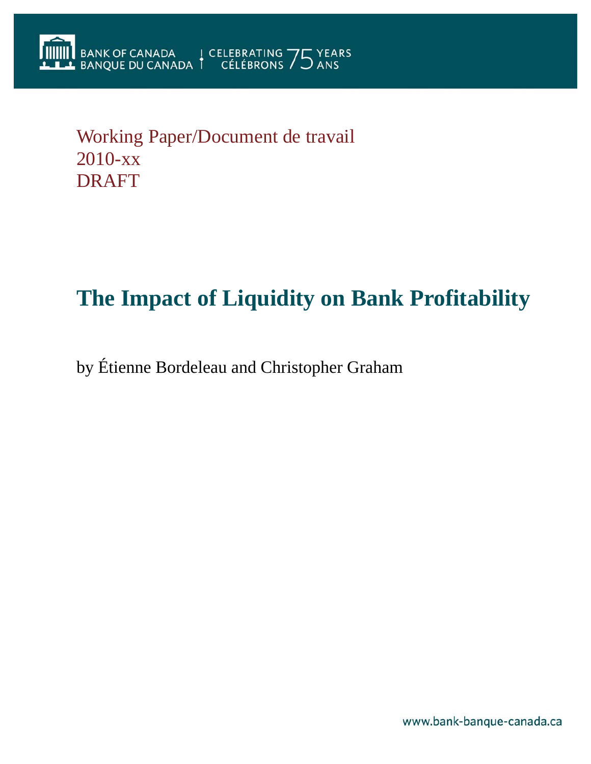# Working Paper/Document de travail 2010-xx DRAFT

# **The Impact of Liquidity on Bank Profitability**

by Étienne Bordeleau and Christopher Graham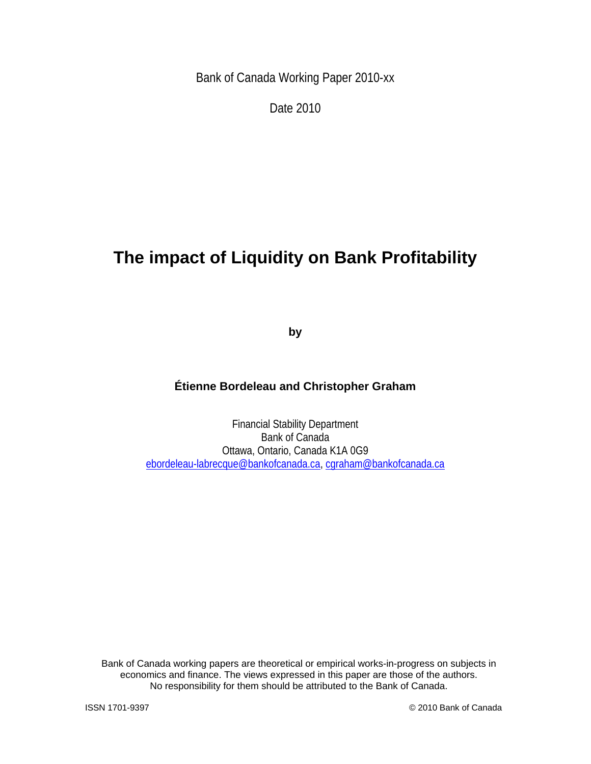Bank of Canada Working Paper 2010-xx

Date 2010

# **The impact of Liquidity on Bank Profitability**

**by** 

### **Étienne Bordeleau and Christopher Graham**

Financial Stability Department Bank of Canada Ottawa, Ontario, Canada K1A 0G9 ebordeleau-labrecque@bankofcanada.ca, cgraham@bankofcanada.ca

Bank of Canada working papers are theoretical or empirical works-in-progress on subjects in economics and finance. The views expressed in this paper are those of the authors. No responsibility for them should be attributed to the Bank of Canada.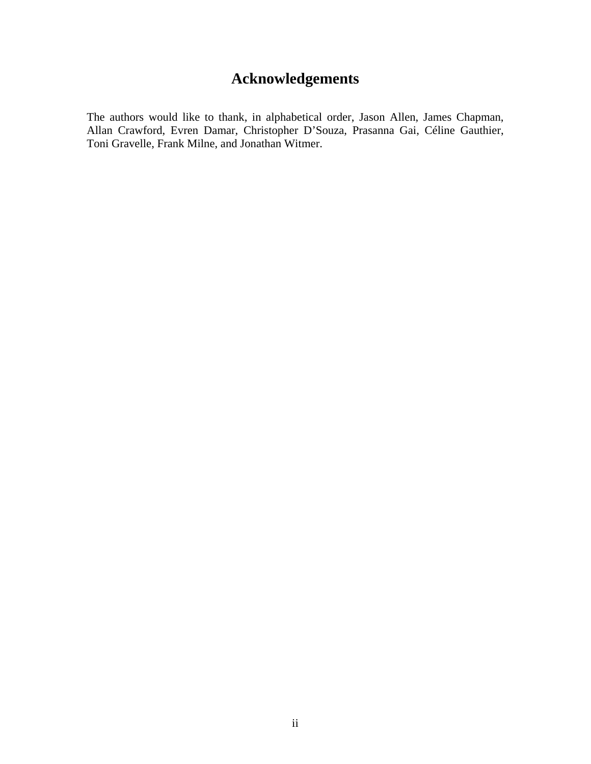# **Acknowledgements**

The authors would like to thank, in alphabetical order, Jason Allen, James Chapman, Allan Crawford, Evren Damar, Christopher D'Souza, Prasanna Gai, Céline Gauthier, Toni Gravelle, Frank Milne, and Jonathan Witmer.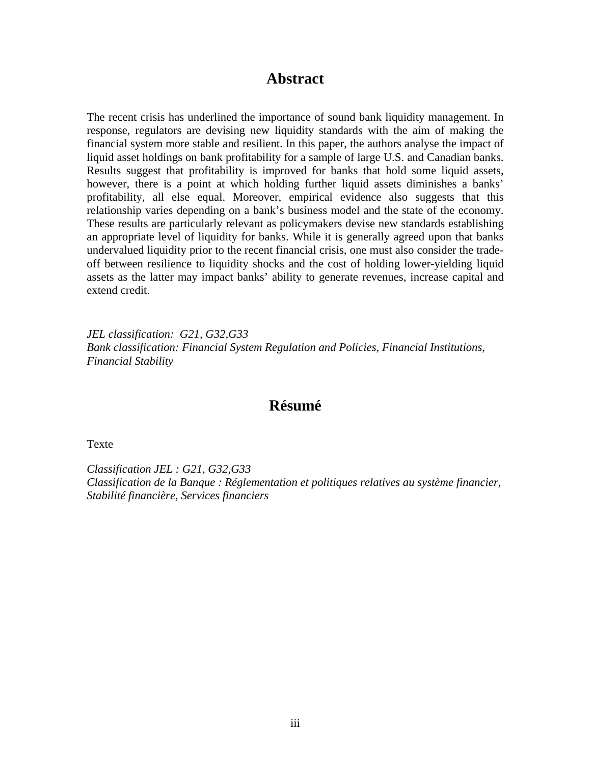## **Abstract**

The recent crisis has underlined the importance of sound bank liquidity management. In response, regulators are devising new liquidity standards with the aim of making the financial system more stable and resilient. In this paper, the authors analyse the impact of liquid asset holdings on bank profitability for a sample of large U.S. and Canadian banks. Results suggest that profitability is improved for banks that hold some liquid assets, however, there is a point at which holding further liquid assets diminishes a banks' profitability, all else equal. Moreover, empirical evidence also suggests that this relationship varies depending on a bank's business model and the state of the economy. These results are particularly relevant as policymakers devise new standards establishing an appropriate level of liquidity for banks. While it is generally agreed upon that banks undervalued liquidity prior to the recent financial crisis, one must also consider the tradeoff between resilience to liquidity shocks and the cost of holding lower-yielding liquid assets as the latter may impact banks' ability to generate revenues, increase capital and extend credit.

*JEL classification: G21, G32,G33 Bank classification: Financial System Regulation and Policies, Financial Institutions, Financial Stability* 

# **Résumé**

Texte

*Classification JEL : G21, G32,G33 Classification de la Banque : Réglementation et politiques relatives au système financier, Stabilité financière, Services financiers*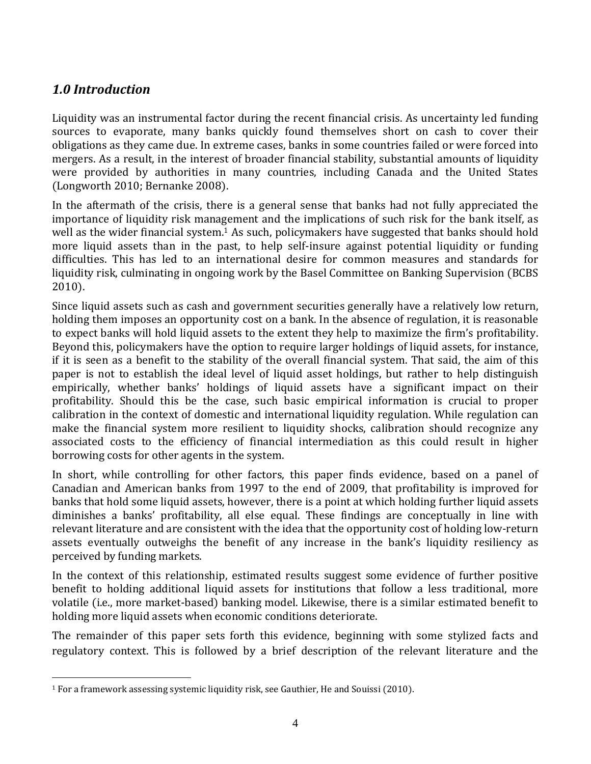# *1.0 Introduction*

 $\overline{a}$ 

Liquidity was an instrumental factor during the recent financial crisis. As uncertainty led funding sources to evaporate, many banks quickly found themselves short on cash to cover their obligations as they came due. In extreme cases, banks in some countries failed or were forced into mergers. As a result, in the interest of broader financial stability, substantial amounts of liquidity were provided by authorities in many countries, including Canada and the United States  $(Longworth 2010; Bernanke 2008).$ 

In the aftermath of the crisis, there is a general sense that banks had not fully appreciated the importance of liquidity risk management and the implications of such risk for the bank itself, as well as the wider financial system.<sup>1</sup> As such, policymakers have suggested that banks should hold more liquid assets than in the past, to help self-insure against potential liquidity or funding difficulties. This has led to an international desire for common measures and standards for liquidity risk, culminating in ongoing work by the Basel Committee on Banking Supervision (BCBS)  $2010$ ).

Since liquid assets such as cash and government securities generally have a relatively low return, holding them imposes an opportunity cost on a bank. In the absence of regulation, it is reasonable to expect banks will hold liquid assets to the extent they help to maximize the firm's profitability. Beyond this, policymakers have the option to require larger holdings of liquid assets, for instance, if it is seen as a benefit to the stability of the overall financial system. That said, the aim of this paper is not to establish the ideal level of liquid asset holdings, but rather to help distinguish empirically, whether banks' holdings of liquid assets have a significant impact on their profitability. Should this be the case, such basic empirical information is crucial to proper calibration in the context of domestic and international liquidity regulation. While regulation can make the financial system more resilient to liquidity shocks, calibration should recognize any associated costs to the efficiency of financial intermediation as this could result in higher borrowing costs for other agents in the system.

In short, while controlling for other factors, this paper finds evidence, based on a panel of Canadian and American banks from 1997 to the end of 2009, that profitability is improved for banks that hold some liquid assets, however, there is a point at which holding further liquid assets diminishes a banks' profitability, all else equal. These findings are conceptually in line with relevant literature and are consistent with the idea that the opportunity cost of holding low‐return assets eventually outweighs the benefit of any increase in the bank's liquidity resiliency as perceived by funding markets.

In the context of this relationship, estimated results suggest some evidence of further positive benefit to holding additional liquid assets for institutions that follow a less traditional, more volatile (i.e., more market-based) banking model. Likewise, there is a similar estimated benefit to holding more liquid assets when economic conditions deteriorate.

The remainder of this paper sets forth this evidence, beginning with some stylized facts and regulatory context. This is followed by a brief description of the relevant literature and the

 $1$  For a framework assessing systemic liquidity risk, see Gauthier, He and Souissi (2010).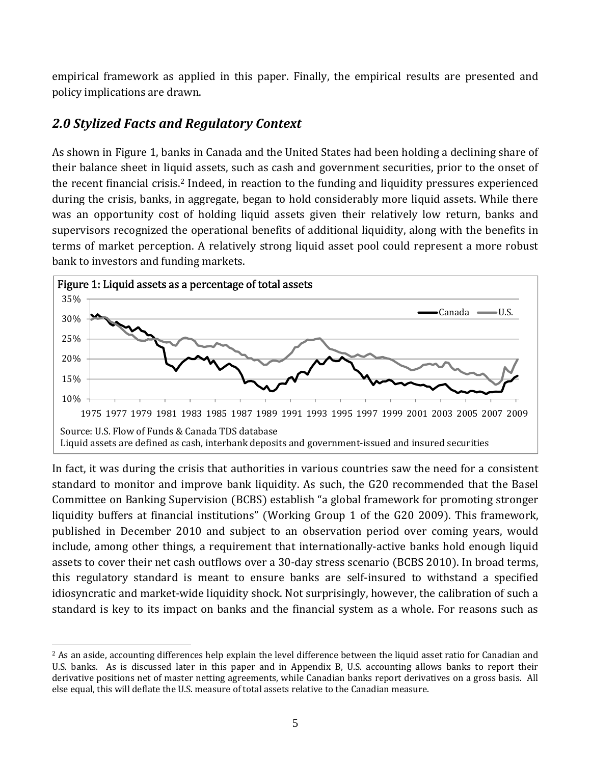empirical framework as applied in this paper. Finally, the empirical results are presented and policy implications are drawn.

# *2.0 Stylized Facts and Regulatory Context*

As shown in Figure 1, banks in Canada and the United States had been holding a declining share of their balance sheet in liquid assets, such as cash and government securities, prior to the onset of the recent financial crisis.2 Indeed, in reaction to the funding and liquidity pressures experienced during the crisis, banks, in aggregate, began to hold considerably more liquid assets. While there was an opportunity cost of holding liquid assets given their relatively low return, banks and supervisors recognized the operational benefits of additional liquidity, along with the benefits in terms of market perception. A relatively strong liquid asset pool could represent a more robust bank to investors and funding markets.



In fact, it was during the crisis that authorities in various countries saw the need for a consistent standard to monitor and improve bank liquidity. As such, the G20 recommended that the Basel Committee on Banking Supervision (BCBS) establish "a global framework for promoting stronger liquidity buffers at financial institutions" (Working Group 1 of the G20 2009). This framework, published in December 2010 and subject to an observation period over coming years, would include, among other things, a requirement that internationally-active banks hold enough liquid assets to cover their net cash outflows over a 30-day stress scenario (BCBS 2010). In broad terms, this regulatory standard is meant to ensure banks are self‐insured to withstand a specified idiosyncratic and market-wide liquidity shock. Not surprisingly, however, the calibration of such a standard is key to its impact on banks and the financial system as a whole. For reasons such as

 $\overline{a}$ <sup>2</sup> As an aside, accounting differences help explain the level difference between the liquid asset ratio for Canadian and U.S. banks. As is discussed later in this paper and in Appendix B, U.S. accounting allows banks to report their derivative positions net of master netting agreements, while Canadian banks report derivatives on a gross basis. All else equal, this will deflate the U.S. measure of total assets relative to the Canadian measure.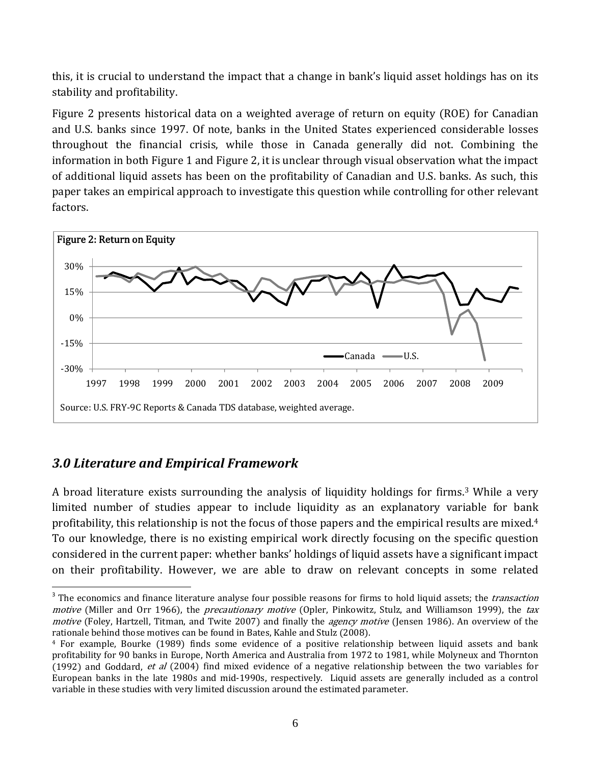this, it is crucial to understand the impact that a change in bank's liquid asset holdings has on its stability and profitability.

Figure 2 presents historical data on a weighted average of return on equity (ROE) for Canadian and U.S. banks since 1997. Of note, banks in the United States experienced considerable losses throughout the financial crisis, while those in Canada generally did not. Combining the information in both Figure 1 and Figure 2, it is unclear through visual observation what the impact of additional liquid assets has been on the profitability of Canadian and U.S. banks. As such, this paper takes an empirical approach to investigate this question while controlling for other relevant factors.



# *3.0 Literature and Empirical Framework*

<u>.</u>

A broad literature exists surrounding the analysis of liquidity holdings for firms.3 While a very limited number of studies appear to include liquidity as an explanatory variable for bank profitability, this relationship is not the focus of those papers and the empirical results are mixed.4 To our knowledge, there is no existing empirical work directly focusing on the specific question considered in the current paper: whether banks' holdings of liquid assets have a significant impact on their profitability. However, we are able to draw on relevant concepts in some related

<sup>&</sup>lt;sup>3</sup> The economics and finance literature analyse four possible reasons for firms to hold liquid assets; the *transaction* motive (Miller and Orr 1966), the precautionary motive (Opler, Pinkowitz, Stulz, and Williamson 1999), the tax motive (Foley, Hartzell, Titman, and Twite 2007) and finally the *agency motive* (Jensen 1986). An overview of the rationale behind those motives can be found in Bates, Kahle and Stulz (2008).

 $4$  For example, Bourke (1989) finds some evidence of a positive relationship between liquid assets and bank profitability for 90 banks in Europe, North America and Australia from 1972 to 1981, while Molyneux and Thornton (1992) and Goddard, et al  $(2004)$  find mixed evidence of a negative relationship between the two variables for European banks in the late 1980s and mid‐1990s, respectively. Liquid assets are generally included as a control variable in these studies with very limited discussion around the estimated parameter.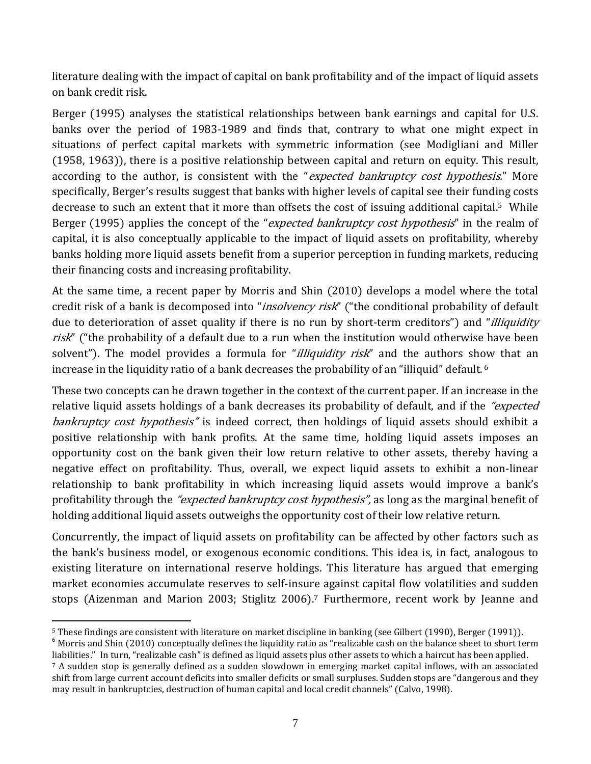literature dealing with the impact of capital on bank profitability and of the impact of liquid assets on bank credit risk.

Berger (1995) analyses the statistical relationships between bank earnings and capital for U.S. banks over the period of 1983-1989 and finds that, contrary to what one might expect in situations of perfect capital markets with symmetric information (see Modigliani and Miller  $(1958, 1963)$ , there is a positive relationship between capital and return on equity. This result, according to the author, is consistent with the "expected bankruptcy cost hypothesis." More specifically, Berger's results suggest that banks with higher levels of capital see their funding costs decrease to such an extent that it more than offsets the cost of issuing additional capital.<sup>5</sup> While Berger (1995) applies the concept of the "*expected bankruptcy cost hypothesis*" in the realm of capital, it is also conceptually applicable to the impact of liquid assets on profitability, whereby banks holding more liquid assets benefit from a superior perception in funding markets, reducing their financing costs and increasing profitability.

At the same time, a recent paper by Morris and Shin  $(2010)$  develops a model where the total credit risk of a bank is decomposed into "*insolvency risk*" ("the conditional probability of default due to deterioration of asset quality if there is no run by short-term creditors") and "*illiquidity* risk" ("the probability of a default due to a run when the institution would otherwise have been solvent"). The model provides a formula for "*illiquidity risk*" and the authors show that an increase in the liquidity ratio of a bank decreases the probability of an "illiquid" default. 6

These two concepts can be drawn together in the context of the current paper. If an increase in the relative liquid assets holdings of a bank decreases its probability of default, and if the "expected" bankruptcy cost hypothesis" is indeed correct, then holdings of liquid assets should exhibit a positive relationship with bank profits. At the same time, holding liquid assets imposes an opportunity cost on the bank given their low return relative to other assets, thereby having a negative effect on profitability. Thus, overall, we expect liquid assets to exhibit a non‐linear relationship to bank profitability in which increasing liquid assets would improve a bank's profitability through the *"expected bankruptcy cost hypothesis"*, as long as the marginal benefit of holding additional liquid assets outweighs the opportunity cost of their low relative return.

Concurrently, the impact of liquid assets on profitability can be affected by other factors such as the bank's business model, or exogenous economic conditions. This idea is, in fact, analogous to existing literature on international reserve holdings. This literature has argued that emerging market economies accumulate reserves to self‐insure against capital flow volatilities and sudden stops (Aizenman and Marion 2003; Stiglitz 2006).<sup>7</sup> Furthermore, recent work by Jeanne and

<sup>&</sup>lt;sup>5</sup> These findings are consistent with literature on market discipline in banking (see Gilbert (1990), Berger (1991)).<br><sup>6</sup> Morris and Shin (2010) conceptually defines the liquidity ratio as "realizable cash on the balance

liabilities." In turn, "realizable cash" is defined as liquid assets plus other assets to which a haircut has been applied.

 $7$  A sudden stop is generally defined as a sudden slowdown in emerging market capital inflows, with an associated shift from large current account deficits into smaller deficits or small surpluses. Sudden stops are "dangerous and they may result in bankruptcies, destruction of human capital and local credit channels" (Calvo, 1998).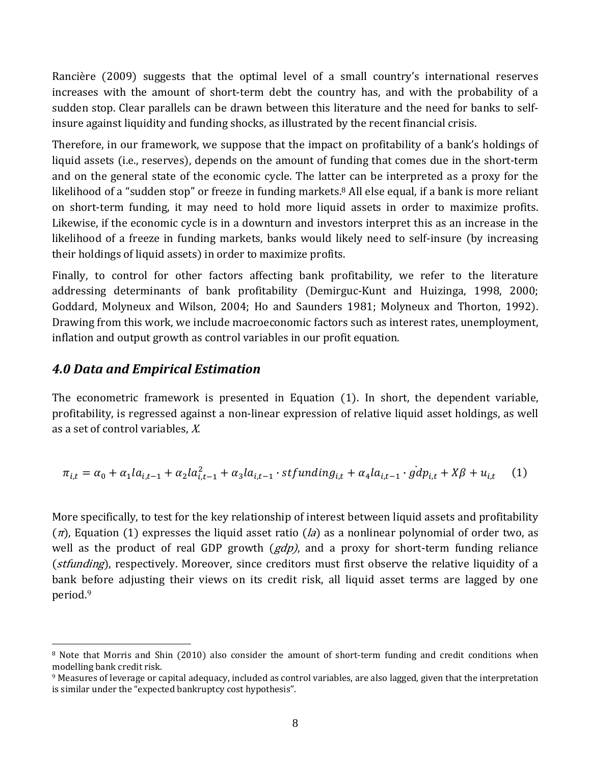Rancière (2009) suggests that the optimal level of a small country's international reserves increases with the amount of short-term debt the country has, and with the probability of a sudden stop. Clear parallels can be drawn between this literature and the need for banks to self‐ insure against liquidity and funding shocks, as illustrated by the recent financial crisis.

Therefore, in our framework, we suppose that the impact on profitability of a bank's holdings of liquid assets (i.e., reserves), depends on the amount of funding that comes due in the short-term and on the general state of the economic cycle. The latter can be interpreted as a proxy for the likelihood of a "sudden stop" or freeze in funding markets.<sup>8</sup> All else equal, if a bank is more reliant on short-term funding, it may need to hold more liquid assets in order to maximize profits. Likewise, if the economic cycle is in a downturn and investors interpret this as an increase in the likelihood of a freeze in funding markets, banks would likely need to self-insure (by increasing their holdings of liquid assets) in order to maximize profits.

Finally, to control for other factors affecting bank profitability, we refer to the literature addressing determinants of bank profitability (Demirguc-Kunt and Huizinga, 1998, 2000; Goddard, Molyneux and Wilson, 2004; Ho and Saunders 1981; Molyneux and Thorton, 1992). Drawing from this work, we include macroeconomic factors such as interest rates, unemployment, inflation and output growth as control variables in our profit equation.

#### *4.0 Data and Empirical Estimation*

 $\overline{a}$ 

The econometric framework is presented in Equation (1). In short, the dependent variable, profitability, is regressed against a non‐linear expression of relative liquid asset holdings, as well as a set of control variables, X.

$$
\pi_{i,t} = \alpha_0 + \alpha_1 l a_{i,t-1} + \alpha_2 l a_{i,t-1}^2 + \alpha_3 l a_{i,t-1} \cdot \text{stfunding}_{i,t} + \alpha_4 l a_{i,t-1} \cdot \text{gdp}_{i,t} + X\beta + u_{i,t} \tag{1}
$$

More specifically, to test for the key relationship of interest between liquid assets and profitability  $(\pi)$ , Equation (1) expresses the liquid asset ratio  $(d\tilde{a})$  as a nonlinear polynomial of order two, as well as the product of real GDP growth  $(gdp)$ , and a proxy for short-term funding reliance (stfunding), respectively. Moreover, since creditors must first observe the relative liquidity of a bank before adjusting their views on its credit risk, all liquid asset terms are lagged by one period.9

<sup>&</sup>lt;sup>8</sup> Note that Morris and Shin (2010) also consider the amount of short-term funding and credit conditions when modelling bank credit risk.

<sup>9</sup> Measures of leverage or capital adequacy, included as control variables, are also lagged, given that the interpretation is similar under the "expected bankruptcy cost hypothesis".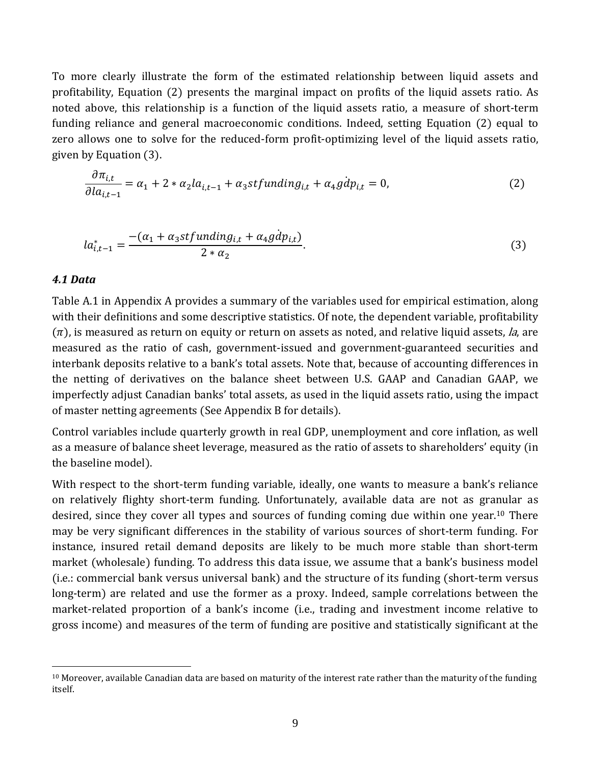To more clearly illustrate the form of the estimated relationship between liquid assets and profitability, Equation (2) presents the marginal impact on profits of the liquid assets ratio. As noted above, this relationship is a function of the liquid assets ratio, a measure of short‐term funding reliance and general macroeconomic conditions. Indeed, setting Equation (2) equal to zero allows one to solve for the reduced-form profit-optimizing level of the liquid assets ratio, given by Equation (3).

$$
\frac{\partial \pi_{i,t}}{\partial la_{i,t-1}} = \alpha_1 + 2 * \alpha_2 la_{i,t-1} + \alpha_3 stfunding_{i,t} + \alpha_4 gdp_{i,t} = 0,\tag{2}
$$

$$
la_{i,t-1}^{*} = \frac{-(\alpha_1 + \alpha_3 stfunding_{i,t} + \alpha_4 g\dot{d}p_{i,t})}{2 * \alpha_2}.
$$
 (3)

#### *4.1 Data*

1

Table A.1 in Appendix A provides a summary of the variables used for empirical estimation, along with their definitions and some descriptive statistics. Of note, the dependent variable, profitability  $(\pi)$ , is measured as return on equity or return on assets as noted, and relative liquid assets, la, are measured as the ratio of cash, government‐issued and government‐guaranteed securities and interbank deposits relative to a bank's total assets. Note that, because of accounting differences in the netting of derivatives on the balance sheet between U.S. GAAP and Canadian GAAP, we imperfectly adjust Canadian banks' total assets, as used in the liquid assets ratio, using the impact of master netting agreements (See Appendix B for details).

Control variables include quarterly growth in real GDP, unemployment and core inflation, as well as a measure of balance sheet leverage, measured as the ratio of assets to shareholders' equity (in the baseline model).

With respect to the short-term funding variable, ideally, one wants to measure a bank's reliance on relatively flighty short‐term funding. Unfortunately, available data are not as granular as desired, since they cover all types and sources of funding coming due within one year.<sup>10</sup> There may be very significant differences in the stability of various sources of short-term funding. For instance, insured retail demand deposits are likely to be much more stable than short‐term market (wholesale) funding. To address this data issue, we assume that a bank's business model  $(i.e.:$  commercial bank versus universal bank) and the structure of its funding  $(short-term versus)$ long-term) are related and use the former as a proxy. Indeed, sample correlations between the market-related proportion of a bank's income (i.e., trading and investment income relative to gross income) and measures of the term of funding are positive and statistically significant at the

 $10$  Moreover, available Canadian data are based on maturity of the interest rate rather than the maturity of the funding itself.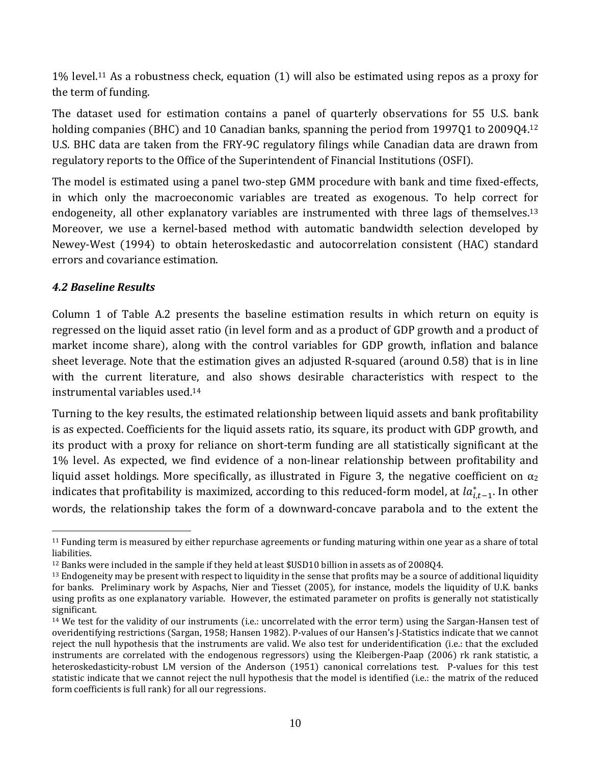$1\%$  level.<sup>11</sup> As a robustness check, equation  $(1)$  will also be estimated using repos as a proxy for the term of funding.

The dataset used for estimation contains a panel of quarterly observations for 55 U.S. bank holding companies (BHC) and 10 Canadian banks, spanning the period from 1997Q1 to 2009Q4.<sup>12</sup> U.S. BHC data are taken from the FRY‐9C regulatory filings while Canadian data are drawn from regulatory reports to the Office of the Superintendent of Financial Institutions (OSFI).

The model is estimated using a panel two-step GMM procedure with bank and time fixed-effects, in which only the macroeconomic variables are treated as exogenous. To help correct for endogeneity, all other explanatory variables are instrumented with three lags of themselves.<sup>13</sup> Moreover, we use a kernel-based method with automatic bandwidth selection developed by Newey-West (1994) to obtain heteroskedastic and autocorrelation consistent (HAC) standard errors and covariance estimation.

#### *4.2 Baseline Results*

1

Column 1 of Table A.2 presents the baseline estimation results in which return on equity is regressed on the liquid asset ratio (in level form and as a product of GDP growth and a product of market income share), along with the control variables for GDP growth, inflation and balance sheet leverage. Note that the estimation gives an adjusted R-squared (around 0.58) that is in line with the current literature, and also shows desirable characteristics with respect to the instrumental variables used.14

Turning to the key results, the estimated relationship between liquid assets and bank profitability is as expected. Coefficients for the liquid assets ratio, its square, its product with GDP growth, and its product with a proxy for reliance on short‐term funding are all statistically significant at the 1% level. As expected, we find evidence of a non‐linear relationship between profitability and liquid asset holdings. More specifically, as illustrated in Figure 3, the negative coefficient on  $\alpha_2$ indicates that profitability is maximized, according to this reduced-form model, at  $la_{i,t-1}^*$ . In other words, the relationship takes the form of a downward‐concave parabola and to the extent the

<sup>11</sup> Funding term is measured by either repurchase agreements or funding maturing within one year as a share of total liabilities.

<sup>12</sup> Banks were included in the sample if they held at least \$USD10 billion in assets as of 2008Q4.

<sup>&</sup>lt;sup>13</sup> Endogeneity may be present with respect to liquidity in the sense that profits may be a source of additional liquidity for banks. Preliminary work by Aspachs, Nier and Tiesset (2005), for instance, models the liquidity of U.K. banks using profits as one explanatory variable. However, the estimated parameter on profits is generally not statistically significant.

 $14$  We test for the validity of our instruments (i.e.: uncorrelated with the error term) using the Sargan-Hansen test of overidentifying restrictions (Sargan, 1958; Hansen 1982). P-values of our Hansen's J-Statistics indicate that we cannot reject the null hypothesis that the instruments are valid. We also test for underidentification (i.e.: that the excluded instruments are correlated with the endogenous regressors) using the Kleibergen-Paap (2006) rk rank statistic, a heteroskedasticity-robust LM version of the Anderson (1951) canonical correlations test. P-values for this test statistic indicate that we cannot reject the null hypothesis that the model is identified (i.e.: the matrix of the reduced form coefficients is full rank) for all our regressions.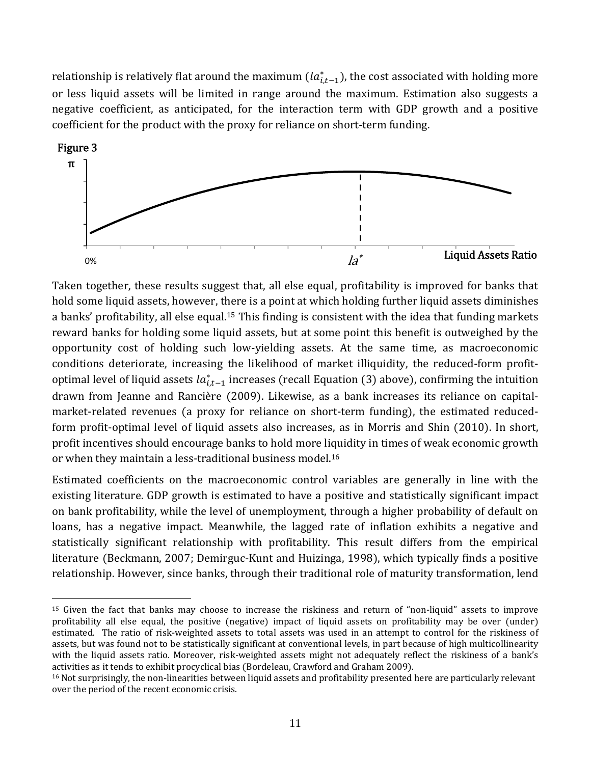relationship is relatively flat around the maximum ( $la_{i,t-1}^*$ ), the cost associated with holding more or less liquid assets will be limited in range around the maximum. Estimation also suggests a negative coefficient, as anticipated, for the interaction term with GDP growth and a positive coefficient for the product with the proxy for reliance on short‐term funding.



Taken together, these results suggest that, all else equal, profitability is improved for banks that hold some liquid assets, however, there is a point at which holding further liquid assets diminishes a banks' profitability, all else equal.<sup>15</sup> This finding is consistent with the idea that funding markets reward banks for holding some liquid assets, but at some point this benefit is outweighed by the opportunity cost of holding such low‐yielding assets. At the same time, as macroeconomic conditions deteriorate, increasing the likelihood of market illiquidity, the reduced-form profitoptimal level of liquid assets  $la_{i,t-1}^*$  increases (recall Equation (3) above), confirming the intuition drawn from Jeanne and Rancière (2009). Likewise, as a bank increases its reliance on capitalmarket-related revenues (a proxy for reliance on short-term funding), the estimated reducedform profit-optimal level of liquid assets also increases, as in Morris and Shin (2010). In short, profit incentives should encourage banks to hold more liquidity in times of weak economic growth or when they maintain a less-traditional business model.<sup>16</sup>

Estimated coefficients on the macroeconomic control variables are generally in line with the existing literature. GDP growth is estimated to have a positive and statistically significant impact on bank profitability, while the level of unemployment, through a higher probability of default on loans, has a negative impact. Meanwhile, the lagged rate of inflation exhibits a negative and statistically significant relationship with profitability. This result differs from the empirical literature (Beckmann, 2007; Demirguc-Kunt and Huizinga, 1998), which typically finds a positive relationship. However, since banks, through their traditional role of maturity transformation, lend

<sup>&</sup>lt;sup>15</sup> Given the fact that banks may choose to increase the riskiness and return of "non-liquid" assets to improve profitability all else equal, the positive (negative) impact of liquid assets on profitability may be over (under) estimated. The ratio of risk-weighted assets to total assets was used in an attempt to control for the riskiness of assets, but was found not to be statistically significant at conventional levels, in part because of high multicollinearity with the liquid assets ratio. Moreover, risk-weighted assets might not adequately reflect the riskiness of a bank's activities as it tends to exhibit procyclical bias (Bordeleau, Crawford and Graham 2009).

<sup>&</sup>lt;sup>16</sup> Not surprisingly, the non-linearities between liquid assets and profitability presented here are particularly relevant over the period of the recent economic crisis.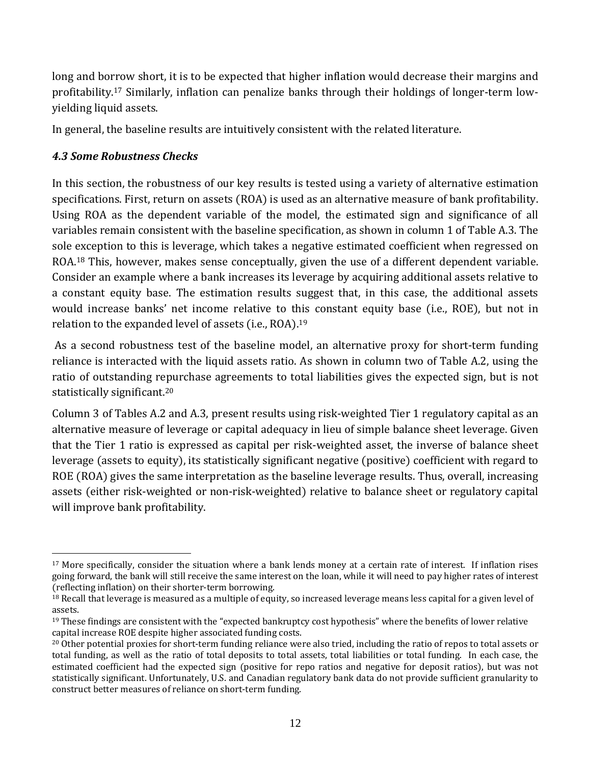long and borrow short, it is to be expected that higher inflation would decrease their margins and profitability.<sup>17</sup> Similarly, inflation can penalize banks through their holdings of longer-term lowyielding liquid assets.

In general, the baseline results are intuitively consistent with the related literature.

## *4.3 Some Robustness Checks*

1

In this section, the robustness of our key results is tested using a variety of alternative estimation specifications. First, return on assets (ROA) is used as an alternative measure of bank profitability. Using ROA as the dependent variable of the model, the estimated sign and significance of all variables remain consistent with the baseline specification, as shown in column 1 of Table A.3. The sole exception to this is leverage, which takes a negative estimated coefficient when regressed on ROA.18 This, however, makes sense conceptually, given the use of a different dependent variable. Consider an example where a bank increases its leverage by acquiring additional assets relative to a constant equity base. The estimation results suggest that, in this case, the additional assets would increase banks' net income relative to this constant equity base (i.e., ROE), but not in relation to the expanded level of assets (i.e., ROA).<sup>19</sup>

As a second robustness test of the baseline model, an alternative proxy for short-term funding reliance is interacted with the liquid assets ratio. As shown in column two of Table A.2, using the ratio of outstanding repurchase agreements to total liabilities gives the expected sign, but is not statistically significant.20

Column 3 of Tables A.2 and A.3, present results using risk‐weighted Tier 1 regulatory capital as an alternative measure of leverage or capital adequacy in lieu of simple balance sheet leverage. Given that the Tier 1 ratio is expressed as capital per risk‐weighted asset, the inverse of balance sheet leverage (assets to equity), its statistically significant negative (positive) coefficient with regard to ROE (ROA) gives the same interpretation as the baseline leverage results. Thus, overall, increasing assets (either risk-weighted or non-risk-weighted) relative to balance sheet or regulatory capital will improve bank profitability.

<sup>&</sup>lt;sup>17</sup> More specifically, consider the situation where a bank lends money at a certain rate of interest. If inflation rises going forward, the bank will still receive the same interest on the loan, while it will need to pay higher rates of interest (reflecting inflation) on their shorter-term borrowing.

<sup>&</sup>lt;sup>18</sup> Recall that leverage is measured as a multiple of equity, so increased leverage means less capital for a given level of assets.

<sup>19</sup> These findings are consistent with the "expected bankruptcy cost hypothesis" where the benefits of lower relative capital increase ROE despite higher associated funding costs.

<sup>&</sup>lt;sup>20</sup> Other potential proxies for short-term funding reliance were also tried, including the ratio of repos to total assets or total funding, as well as the ratio of total deposits to total assets, total liabilities or total funding. In each case, the estimated coefficient had the expected sign (positive for repo ratios and negative for deposit ratios), but was not statistically significant. Unfortunately, U.S. and Canadian regulatory bank data do not provide sufficient granularity to construct better measures of reliance on short‐term funding.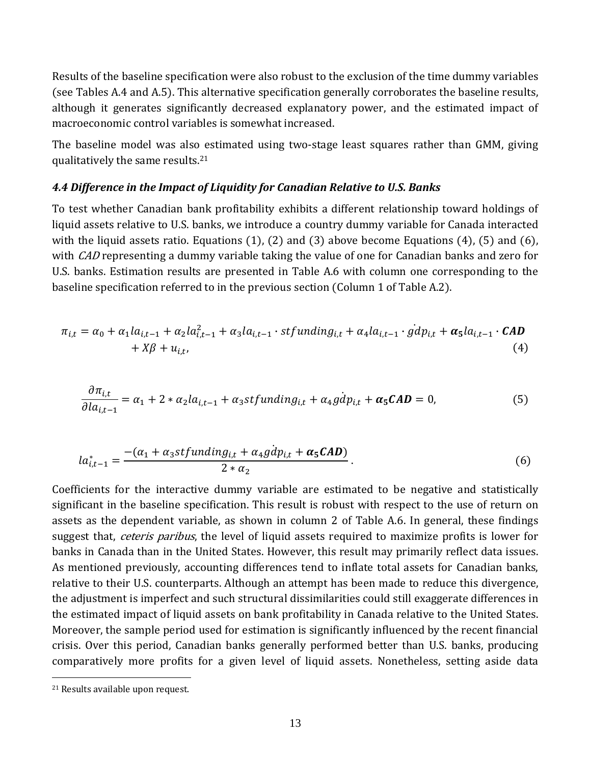Results of the baseline specification were also robust to the exclusion of the time dummy variables (see Tables A.4 and A.5). This alternative specification generally corroborates the baseline results, although it generates significantly decreased explanatory power, and the estimated impact of macroeconomic control variables is somewhat increased.

The baseline model was also estimated using two-stage least squares rather than GMM, giving qualitatively the same results.21

#### *4.4 Difference in the Impact of Liquidity for Canadian Relative to U.S. Banks*

To test whether Canadian bank profitability exhibits a different relationship toward holdings of liquid assets relative to U.S. banks, we introduce a country dummy variable for Canada interacted with the liquid assets ratio. Equations  $(1)$ ,  $(2)$  and  $(3)$  above become Equations  $(4)$ ,  $(5)$  and  $(6)$ , with *CAD* representing a dummy variable taking the value of one for Canadian banks and zero for U.S. banks. Estimation results are presented in Table A.6 with column one corresponding to the baseline specification referred to in the previous section (Column 1 of Table A.2).

$$
\pi_{i,t} = \alpha_0 + \alpha_1 la_{i,t-1} + \alpha_2 la_{i,t-1}^2 + \alpha_3 la_{i,t-1} \cdot stfunding_{i,t} + \alpha_4 la_{i,t-1} \cdot \dot{gd}p_{i,t} + \alpha_5 la_{i,t-1} \cdot \text{CAD} + X\beta + u_{i,t},
$$
\n(4)

$$
\frac{\partial \pi_{i,t}}{\partial la_{i,t-1}} = \alpha_1 + 2 * \alpha_2 la_{i,t-1} + \alpha_3 stfunding_{i,t} + \alpha_4 gdp_{i,t} + \alpha_5 CAD = 0,\tag{5}
$$

$$
la_{i,t-1}^* = \frac{-(\alpha_1 + \alpha_3 stfunding_{i,t} + \alpha_4 gdp_{i,t} + \alpha_5 CAD)}{2 * \alpha_2}.
$$
\n
$$
(6)
$$

Coefficients for the interactive dummy variable are estimated to be negative and statistically significant in the baseline specification. This result is robust with respect to the use of return on assets as the dependent variable, as shown in column 2 of Table A.6. In general, these findings suggest that, *ceteris paribus*, the level of liquid assets required to maximize profits is lower for banks in Canada than in the United States. However, this result may primarily reflect data issues. As mentioned previously, accounting differences tend to inflate total assets for Canadian banks, relative to their U.S. counterparts. Although an attempt has been made to reduce this divergence, the adjustment is imperfect and such structural dissimilarities could still exaggerate differences in the estimated impact of liquid assets on bank profitability in Canada relative to the United States. Moreover, the sample period used for estimation is significantly influenced by the recent financial crisis. Over this period, Canadian banks generally performed better than U.S. banks, producing comparatively more profits for a given level of liquid assets. Nonetheless, setting aside data

1

<sup>21</sup> Results available upon request.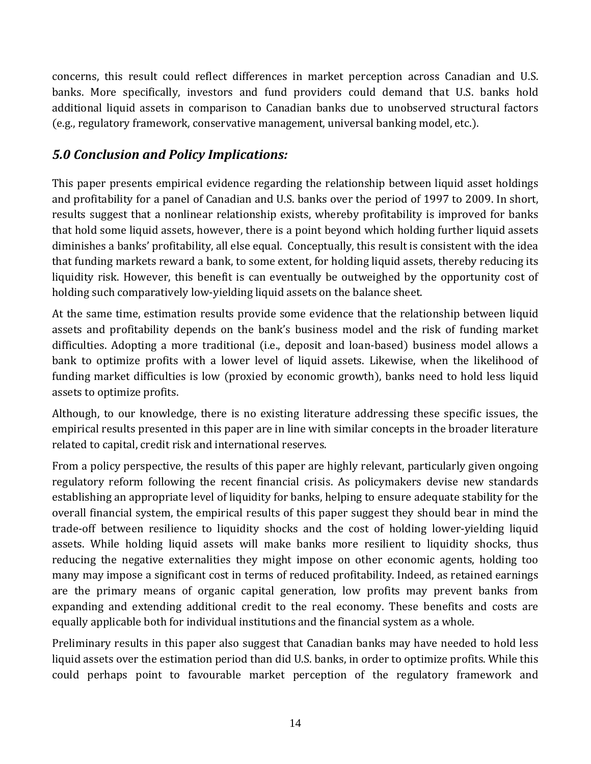concerns, this result could reflect differences in market perception across Canadian and U.S. banks. More specifically, investors and fund providers could demand that U.S. banks hold additional liquid assets in comparison to Canadian banks due to unobserved structural factors (e.g., regulatory framework, conservative management, universal banking model, etc.).

# *5.0 Conclusion and Policy Implications:*

This paper presents empirical evidence regarding the relationship between liquid asset holdings and profitability for a panel of Canadian and U.S. banks over the period of 1997 to 2009. In short, results suggest that a nonlinear relationship exists, whereby profitability is improved for banks that hold some liquid assets, however, there is a point beyond which holding further liquid assets diminishes a banks' profitability, all else equal. Conceptually, this result is consistent with the idea that funding markets reward a bank, to some extent, for holding liquid assets, thereby reducing its liquidity risk. However, this benefit is can eventually be outweighed by the opportunity cost of holding such comparatively low‐yielding liquid assets on the balance sheet.

At the same time, estimation results provide some evidence that the relationship between liquid assets and profitability depends on the bank's business model and the risk of funding market difficulties. Adopting a more traditional (i.e., deposit and loan-based) business model allows a bank to optimize profits with a lower level of liquid assets. Likewise, when the likelihood of funding market difficulties is low (proxied by economic growth), banks need to hold less liquid assets to optimize profits.

Although, to our knowledge, there is no existing literature addressing these specific issues, the empirical results presented in this paper are in line with similar concepts in the broader literature related to capital, credit risk and international reserves.

From a policy perspective, the results of this paper are highly relevant, particularly given ongoing regulatory reform following the recent financial crisis. As policymakers devise new standards establishing an appropriate level of liquidity for banks, helping to ensure adequate stability for the overall financial system, the empirical results of this paper suggest they should bear in mind the trade‐off between resilience to liquidity shocks and the cost of holding lower‐yielding liquid assets. While holding liquid assets will make banks more resilient to liquidity shocks, thus reducing the negative externalities they might impose on other economic agents, holding too many may impose a significant cost in terms of reduced profitability. Indeed, as retained earnings are the primary means of organic capital generation, low profits may prevent banks from expanding and extending additional credit to the real economy. These benefits and costs are equally applicable both for individual institutions and the financial system as a whole.

Preliminary results in this paper also suggest that Canadian banks may have needed to hold less liquid assets over the estimation period than did U.S. banks, in order to optimize profits. While this could perhaps point to favourable market perception of the regulatory framework and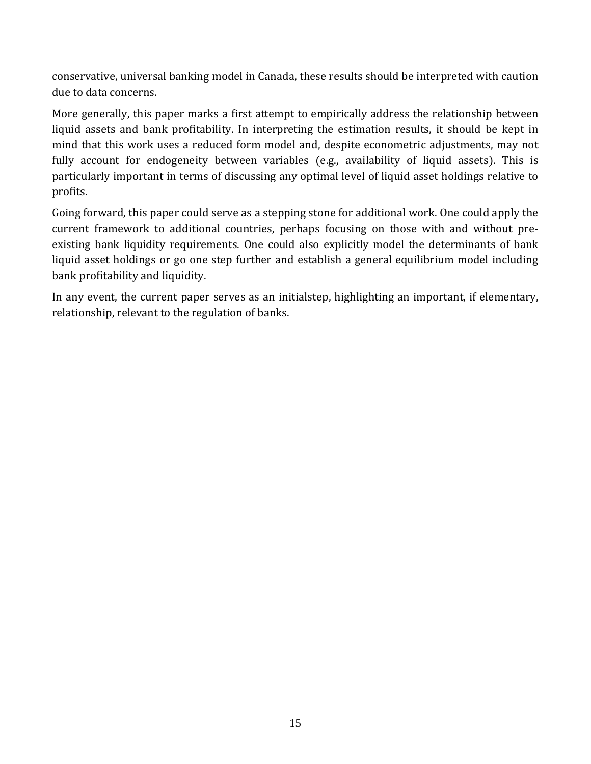conservative, universal banking model in Canada, these results should be interpreted with caution due to data concerns.

More generally, this paper marks a first attempt to empirically address the relationship between liquid assets and bank profitability. In interpreting the estimation results, it should be kept in mind that this work uses a reduced form model and, despite econometric adjustments, may not fully account for endogeneity between variables (e.g., availability of liquid assets). This is particularly important in terms of discussing any optimal level of liquid asset holdings relative to profits.

Going forward, this paper could serve as a stepping stone for additional work. One could apply the current framework to additional countries, perhaps focusing on those with and without pre‐ existing bank liquidity requirements. One could also explicitly model the determinants of bank liquid asset holdings or go one step further and establish a general equilibrium model including bank profitability and liquidity.

In any event, the current paper serves as an initialstep, highlighting an important, if elementary, relationship, relevant to the regulation of banks.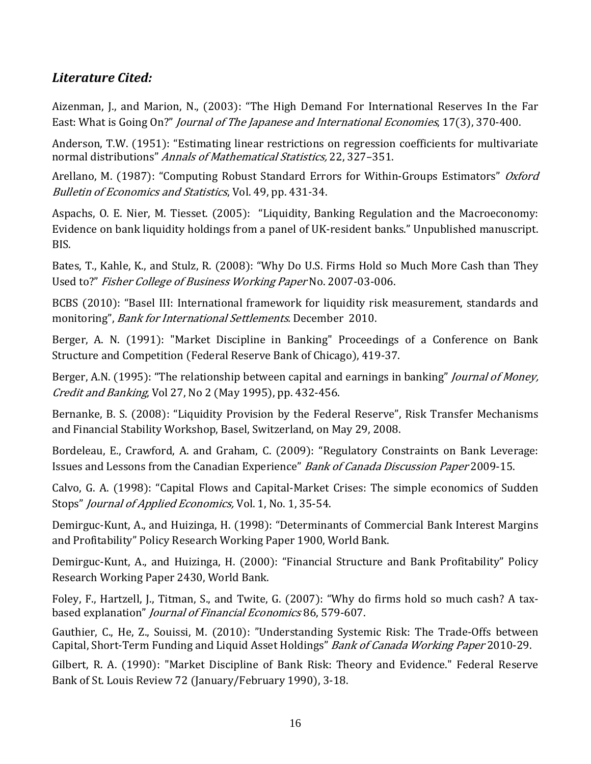# *Literature Cited:*

Aizenman, J., and Marion, N., (2003): "The High Demand For International Reserves In the Far East: What is Going On?" Journal of The Japanese and International Economies, 17(3), 370-400.

Anderson, T.W. (1951): "Estimating linear restrictions on regression coefficients for multivariate normal distributions" Annals of Mathematical Statistics, 22, 327–351.

Arellano, M. (1987): "Computing Robust Standard Errors for Within-Groups Estimators" *Oxford* Bulletin of Economics and Statistics, Vol. 49, pp. 431‐34.

Aspachs, O. E. Nier, M. Tiesset. (2005): "Liquidity, Banking Regulation and the Macroeconomy: Evidence on bank liquidity holdings from a panel of UK‐resident banks." Unpublished manuscript. BIS.

Bates, T., Kahle, K., and Stulz, R. (2008): "Why Do U.S. Firms Hold so Much More Cash than They Used to?" Fisher College of Business Working Paper No. 2007‐03‐006.

BCBS (2010): "Basel III: International framework for liquidity risk measurement, standards and monitoring", Bank for International Settlements. December 2010.

Berger, A. N. (1991): "Market Discipline in Banking" Proceedings of a Conference on Bank Structure and Competition (Federal Reserve Bank of Chicago), 419-37.

Berger, A.N. (1995): "The relationship between capital and earnings in banking" *Journal of Money*, Credit and Banking, Vol 27, No 2 (May 1995), pp. 432-456.

Bernanke, B. S. (2008): "Liquidity Provision by the Federal Reserve", Risk Transfer Mechanisms and Financial Stability Workshop, Basel, Switzerland, on May 29, 2008.

Bordeleau, E., Crawford, A. and Graham, C. (2009): "Regulatory Constraints on Bank Leverage: Issues and Lessons from the Canadian Experience" Bank of Canada Discussion Paper 2009‐15.

Calvo, G. A. (1998): "Capital Flows and Capital-Market Crises: The simple economics of Sudden Stops" *Journal of Applied Economics*, Vol. 1, No. 1, 35-54.

Demirguc-Kunt, A., and Huizinga, H. (1998): "Determinants of Commercial Bank Interest Margins and Profitability" Policy Research Working Paper 1900, World Bank.

Demirguc-Kunt, A., and Huizinga, H. (2000): "Financial Structure and Bank Profitability" Policy Research Working Paper 2430, World Bank.

Foley, F., Hartzell, J., Titman, S., and Twite, G. (2007): "Why do firms hold so much cash? A taxbased explanation" Journal of Financial Economics 86, 579‐607.

Gauthier, C., He, Z., Souissi, M. (2010): "Understanding Systemic Risk: The Trade-Offs between Capital, Short-Term Funding and Liquid Asset Holdings" Bank of Canada Working Paper 2010-29.

Gilbert, R. A. (1990): "Market Discipline of Bank Risk: Theory and Evidence." Federal Reserve Bank of St. Louis Review 72 (January/February 1990), 3-18.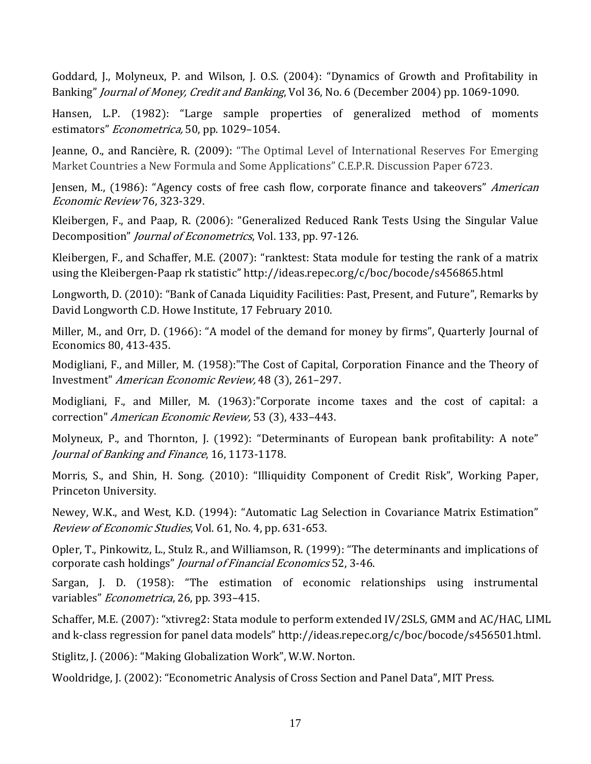Goddard, J., Molyneux, P. and Wilson, J. O.S. (2004): "Dynamics of Growth and Profitability in Banking" *Journal of Money, Credit and Banking*, Vol 36, No. 6 (December 2004) pp. 1069-1090.

Hansen, L.P. (1982): "Large sample properties of generalized method of moments estimators" Econometrica, 50, pp. 1029–1054.

Jeanne, O., and Rancière, R. (2009): "The Optimal Level of International Reserves For Emerging Market Countries a New Formula and Some Applications" C.E.P.R. Discussion Paper 6723.

Jensen, M., (1986): "Agency costs of free cash flow, corporate finance and takeovers" American Economic Review 76, 323‐329.

Kleibergen, F., and Paap, R. (2006): "Generalized Reduced Rank Tests Using the Singular Value Decomposition" *Journal of Econometrics*, Vol. 133, pp. 97-126.

Kleibergen, F., and Schaffer, M.E. (2007): "ranktest: Stata module for testing the rank of a matrix using the Kleibergen‐Paap rk statistic" http://ideas.repec.org/c/boc/bocode/s456865.html

Longworth, D. (2010): "Bank of Canada Liquidity Facilities: Past, Present, and Future", Remarks by David Longworth C.D. Howe Institute, 17 February 2010.

Miller, M., and Orr, D. (1966): "A model of the demand for money by firms", Quarterly Journal of Economics 80, 413‐435.

Modigliani, F., and Miller, M. (1958): "The Cost of Capital, Corporation Finance and the Theory of Investment" American Economic Review, 48 (3), 261–297.

Modigliani, F., and Miller, M. (1963):"Corporate income taxes and the cost of capital: a correction" American Economic Review, 53 (3), 433-443.

Molyneux, P., and Thornton, J. (1992): "Determinants of European bank profitability: A note" Journal of Banking and Finance, 16, 1173‐1178.

Morris, S., and Shin, H. Song. (2010): "Illiquidity Component of Credit Risk", Working Paper, Princeton University.

Newey, W.K., and West, K.D. (1994): "Automatic Lag Selection in Covariance Matrix Estimation" Review of Economic Studies, Vol. 61, No. 4, pp. 631‐653.

Opler, T., Pinkowitz, L., Stulz R., and Williamson, R. (1999): "The determinants and implications of corporate cash holdings" Journal of Financial Economics 52, 3‐46.

Sargan, J. D. (1958): "The estimation of economic relationships using instrumental variables" Econometrica, 26, pp. 393-415.

Schaffer, M.E. (2007): "xtivreg2: Stata module to perform extended IV/2SLS, GMM and AC/HAC, LIML and k‐class regression for panel data models" http://ideas.repec.org/c/boc/bocode/s456501.html.

Stiglitz, J. (2006): "Making Globalization Work", W.W. Norton.

Wooldridge, J. (2002): "Econometric Analysis of Cross Section and Panel Data", MIT Press.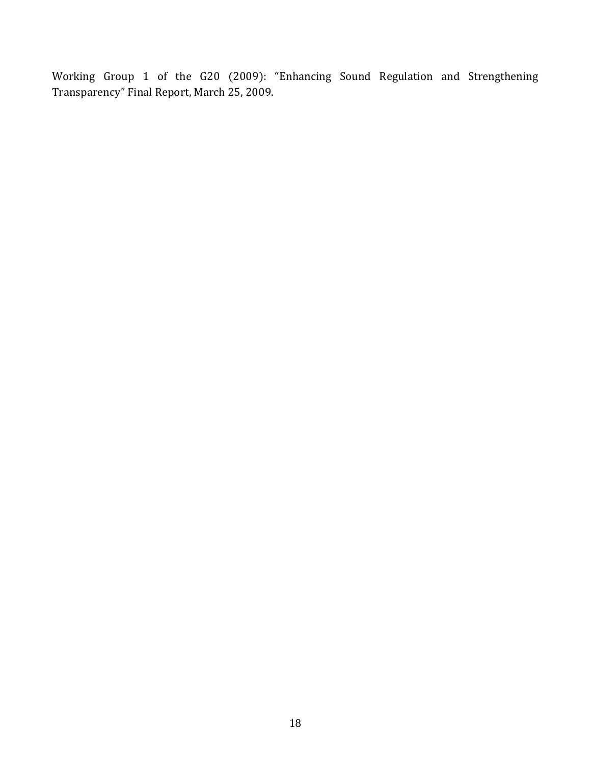Working Group 1 of the G20 (2009): "Enhancing Sound Regulation and Strengthening Transparency" Final Report, March 25, 2009.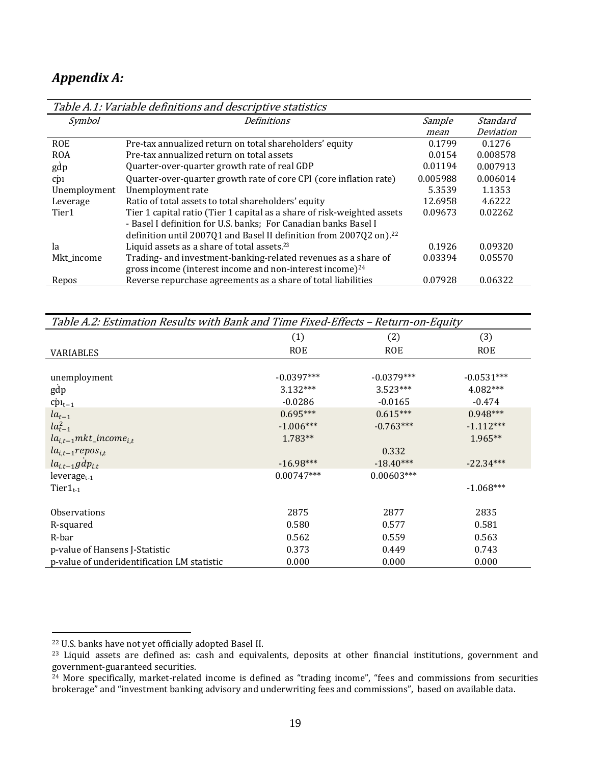# *Appendix A:*

| Table A.1: Variable definitions and descriptive statistics |                                                                                |          |           |  |
|------------------------------------------------------------|--------------------------------------------------------------------------------|----------|-----------|--|
| Symbol                                                     | <b>Definitions</b>                                                             | Sample   | Standard  |  |
|                                                            |                                                                                | mean     | Deviation |  |
| <b>ROE</b>                                                 | Pre-tax annualized return on total shareholders' equity                        | 0.1799   | 0.1276    |  |
| <b>ROA</b>                                                 | Pre-tax annualized return on total assets                                      | 0.0154   | 0.008578  |  |
| gdp                                                        | Quarter-over-quarter growth rate of real GDP                                   | 0.01194  | 0.007913  |  |
| cpi                                                        | Quarter-over-quarter growth rate of core CPI (core inflation rate)             | 0.005988 | 0.006014  |  |
| Unemployment                                               | Unemployment rate                                                              | 5.3539   | 1.1353    |  |
| Leverage                                                   | Ratio of total assets to total shareholders' equity                            | 12.6958  | 4.6222    |  |
| Tier1                                                      | Tier 1 capital ratio (Tier 1 capital as a share of risk-weighted assets        | 0.09673  | 0.02262   |  |
|                                                            | - Basel I definition for U.S. banks; For Canadian banks Basel I                |          |           |  |
|                                                            | definition until 2007Q1 and Basel II definition from 2007Q2 on). <sup>22</sup> |          |           |  |
| la                                                         | Liquid assets as a share of total assets. <sup>23</sup>                        | 0.1926   | 0.09320   |  |
| Mkt_income                                                 | Trading- and investment-banking-related revenues as a share of                 | 0.03394  | 0.05570   |  |
|                                                            | gross income (interest income and non-interest income) $24$                    |          |           |  |
| Repos                                                      | Reverse repurchase agreements as a share of total liabilities                  | 0.07928  | 0.06322   |  |

Table A.1: Variable definitions and descriptive statistics

| Table A.2: Estimation Results with Bank and Time Fixed-Effects - Return-on-Equity |              |              |              |
|-----------------------------------------------------------------------------------|--------------|--------------|--------------|
|                                                                                   | (1)          | (2)          | (3)          |
| VARIABLES                                                                         | <b>ROE</b>   | ROE          | <b>ROE</b>   |
|                                                                                   |              |              |              |
| unemployment                                                                      | $-0.0397***$ | $-0.0379***$ | $-0.0531***$ |
| gdp                                                                               | $3.132***$   | $3.523***$   | 4.082***     |
| $c p_{t-1}$                                                                       | $-0.0286$    | $-0.0165$    | $-0.474$     |
| $la_{t-1}$                                                                        | $0.695***$   | $0.615***$   | $0.948***$   |
| $la_{t-1}^2$                                                                      | $-1.006***$  | $-0.763***$  | $-1.112***$  |
| $la_{i,t-1}$ mkt_income <sub>i,t</sub>                                            | 1.783**      |              | $1.965**$    |
| $la_{i,t-1} repos_{i,t}$                                                          |              | 0.332        |              |
| $la_{i,t-1}gdp_{i,t}$                                                             | $-16.98***$  | $-18.40***$  | $-22.34***$  |
| $leverage_{t-1}$                                                                  | $0.00747***$ | $0.00603***$ |              |
| $Tier1_{t-1}$                                                                     |              |              | $-1.068***$  |
|                                                                                   |              |              |              |
| <b>Observations</b>                                                               | 2875         | 2877         | 2835         |
| R-squared                                                                         | 0.580        | 0.577        | 0.581        |
| R-bar                                                                             | 0.562        | 0.559        | 0.563        |
| p-value of Hansens J-Statistic                                                    | 0.373        | 0.449        | 0.743        |
| p-value of underidentification LM statistic                                       | 0.000        | 0.000        | 0.000        |

<sup>22</sup> U.S. banks have not yet officially adopted Basel II.

<sup>&</sup>lt;sup>23</sup> Liquid assets are defined as: cash and equivalents, deposits at other financial institutions, government and government‐guaranteed securities.

 $24$  More specifically, market-related income is defined as "trading income", "fees and commissions from securities brokerage" and "investment banking advisory and underwriting fees and commissions", based on available data.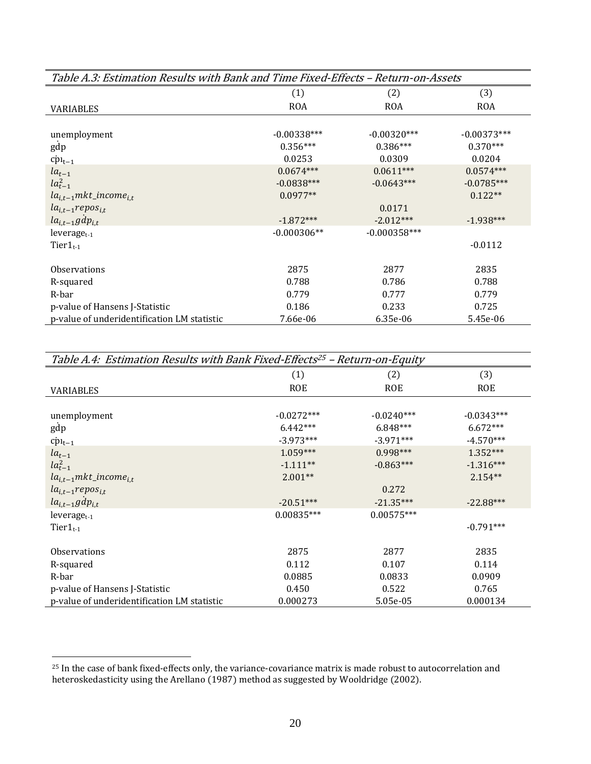| Table A.3: Estimation Results with Bank and Time Fixed-Effects - Return-on-Assets |               |                |               |
|-----------------------------------------------------------------------------------|---------------|----------------|---------------|
|                                                                                   | (1)           | (2)            | (3)           |
| VARIABLES                                                                         | <b>ROA</b>    | <b>ROA</b>     | <b>ROA</b>    |
|                                                                                   |               |                |               |
| unemployment                                                                      | $-0.00338***$ | $-0.00320***$  | $-0.00373***$ |
| gdp                                                                               | $0.356***$    | $0.386***$     | $0.370***$    |
| $c p_{t-1}$                                                                       | 0.0253        | 0.0309         | 0.0204        |
| $la_{t-1}$                                                                        | $0.0674***$   | $0.0611***$    | $0.0574***$   |
| $la_{t-1}^2$                                                                      | $-0.0838***$  | $-0.0643***$   | $-0.0785***$  |
| $la_{i,t-1}mkt\_income_{i,t}$                                                     | $0.0977**$    |                | $0.122**$     |
| $la_{i,t-1}$ repos <sub>i,t</sub>                                                 |               | 0.0171         |               |
| $la_{i,t-1}gdp_{i,t}$                                                             | $-1.872***$   | $-2.012***$    | $-1.938***$   |
| leverage $t-1$                                                                    | $-0.000306**$ | $-0.000358***$ |               |
| $Tier1_{t-1}$                                                                     |               |                | $-0.0112$     |
|                                                                                   |               |                |               |
| <b>Observations</b>                                                               | 2875          | 2877           | 2835          |
| R-squared                                                                         | 0.788         | 0.786          | 0.788         |
| R-bar                                                                             | 0.779         | 0.777          | 0.779         |
| p-value of Hansens J-Statistic                                                    | 0.186         | 0.233          | 0.725         |
| p-value of underidentification LM statistic                                       | 7.66e-06      | 6.35e-06       | 5.45e-06      |

| Table A.4: Estimation Results with Bank Fixed-Effects <sup>25</sup> – Return-on-Equity |              |              |              |
|----------------------------------------------------------------------------------------|--------------|--------------|--------------|
|                                                                                        | (1)          | (2)          | (3)          |
| <b>VARIABLES</b>                                                                       | <b>ROE</b>   | <b>ROE</b>   | <b>ROE</b>   |
|                                                                                        |              |              |              |
| unemployment                                                                           | $-0.0272***$ | $-0.0240***$ | $-0.0343***$ |
| gdp                                                                                    | $6.442***$   | 6.848***     | $6.672***$   |
| $\text{cpl}_{t-1}$                                                                     | $-3.973***$  | $-3.971***$  | $-4.570***$  |
| $la_{t-1}$                                                                             | $1.059***$   | $0.998***$   | $1.352***$   |
| $la_{t-1}^2$                                                                           | $-1.111**$   | $-0.863***$  | $-1.316***$  |
| $la_{i,t-1}$ mkt_income <sub>i.t</sub>                                                 | $2.001**$    |              | $2.154**$    |
| $la_{i,t-1}$ repos <sub>i,t</sub>                                                      |              | 0.272        |              |
| $la_{i,t-1}gdp_{i,t}$                                                                  | $-20.51***$  | $-21.35***$  | $-22.88***$  |
| $leverage_{t-1}$                                                                       | $0.00835***$ | $0.00575***$ |              |
| $Tier1_{t-1}$                                                                          |              |              | $-0.791***$  |
|                                                                                        |              |              |              |
| <b>Observations</b>                                                                    | 2875         | 2877         | 2835         |
| R-squared                                                                              | 0.112        | 0.107        | 0.114        |
| R-bar                                                                                  | 0.0885       | 0.0833       | 0.0909       |
| p-value of Hansens J-Statistic                                                         | 0.450        | 0.522        | 0.765        |
| p-value of underidentification LM statistic                                            | 0.000273     | 5.05e-05     | 0.000134     |

 $^{25}$  In the case of bank fixed-effects only, the variance-covariance matrix is made robust to autocorrelation and heteroskedasticity using the Arellano (1987) method as suggested by Wooldridge (2002).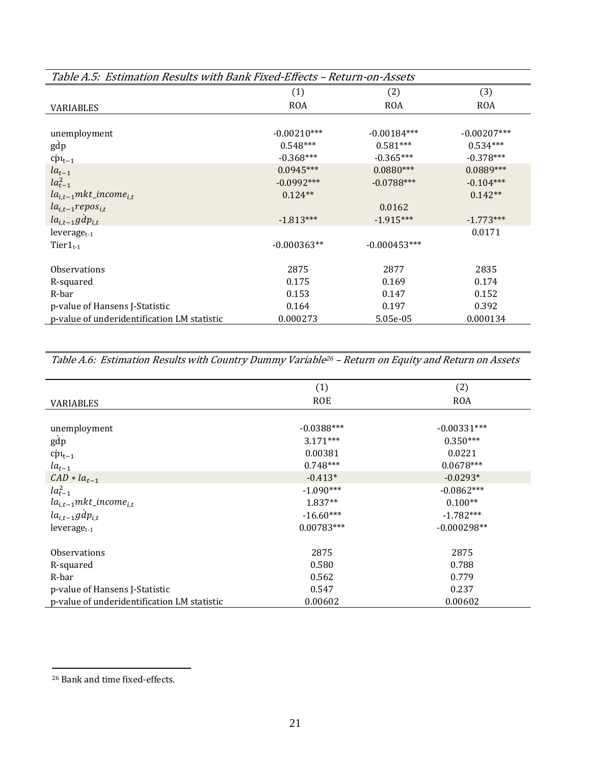| Table A.5: Estimation Results with Bank Fixed-Effects – Return-on-Assets |               |                |               |
|--------------------------------------------------------------------------|---------------|----------------|---------------|
|                                                                          | (1)           | (2)            | (3)           |
| <b>VARIABLES</b>                                                         | <b>ROA</b>    | <b>ROA</b>     | <b>ROA</b>    |
|                                                                          |               |                |               |
| unemployment                                                             | $-0.00210***$ | $-0.00184***$  | $-0.00207***$ |
| gdp                                                                      | $0.548***$    | $0.581***$     | $0.534***$    |
| $\text{cpl}_{t-1}$                                                       | $-0.368***$   | $-0.365***$    | $-0.378***$   |
| $la_{t-1}$                                                               | $0.0945***$   | $0.0880***$    | $0.0889***$   |
| $la_{t-1}^2$                                                             | $-0.0992***$  | $-0.0788***$   | $-0.104***$   |
| $la_{i,t-1}$ mkt_income <sub>i.t</sub>                                   | $0.124**$     |                | $0.142**$     |
| $la_{i,t-1} repos_{i,t}$                                                 |               | 0.0162         |               |
| $la_{i,t-1}gdp_{i,t}$                                                    | $-1.813***$   | $-1.915***$    | $-1.773***$   |
| leverage $t-1$                                                           |               |                | 0.0171        |
| Tier $1_{t-1}$                                                           | $-0.000363**$ | $-0.000453***$ |               |
|                                                                          |               |                |               |
| <b>Observations</b>                                                      | 2875          | 2877           | 2835          |
| R-squared                                                                | 0.175         | 0.169          | 0.174         |
| R-bar                                                                    | 0.153         | 0.147          | 0.152         |
| p-value of Hansens J-Statistic                                           | 0.164         | 0.197          | 0.392         |
| p-value of underidentification LM statistic                              | 0.000273      | 5.05e-05       | 0.000134      |

Table A.6: Estimation Results with Country Dummy Variable<sup>26</sup> – Return on Equity and Return on Assets

|                                             | (1)          | (2)           |
|---------------------------------------------|--------------|---------------|
| <b>VARIABLES</b>                            | <b>ROE</b>   | <b>ROA</b>    |
|                                             |              |               |
| unemployment                                | $-0.0388***$ | $-0.00331***$ |
| gdp                                         | $3.171***$   | $0.350***$    |
| $c p_{t-1}$                                 | 0.00381      | 0.0221        |
| $la_{t-1}$                                  | $0.748***$   | $0.0678***$   |
| $CAD * la_{t-1}$                            | $-0.413*$    | $-0.0293*$    |
| $la_{t-1}^2$                                | $-1.090***$  | $-0.0862***$  |
| $la_{i,t-1}$ mkt_income <sub>i.t</sub>      | $1.837**$    | $0.100**$     |
| $la_{i,t-1}gdp_{i,t}$                       | $-16.60***$  | $-1.782***$   |
| $leverage_{t-1}$                            | $0.00783***$ | $-0.000298**$ |
| <b>Observations</b>                         | 2875         | 2875          |
| R-squared                                   | 0.580        | 0.788         |
| R-bar                                       | 0.562        | 0.779         |
| p-value of Hansens J-Statistic              | 0.547        | 0.237         |
| p-value of underidentification LM statistic | 0.00602      | 0.00602       |

<sup>26</sup> Bank and time fixed‐effects.